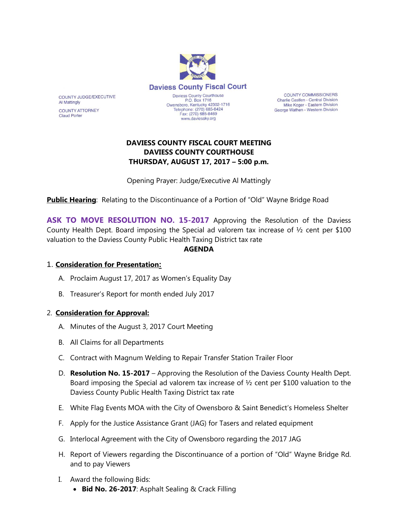

**COUNTY COMMISSIONERS** Charlie Castlen - Central Division Mike Koger - Eastern Division George Wathen - Western Division

# **DAVIESS COUNTY FISCAL COURT MEETING DAVIESS COUNTY COURTHOUSE THURSDAY, AUGUST 17, 2017 – 5:00 p.m.**

Opening Prayer: Judge/Executive Al Mattingly

**Public Hearing**: Relating to the Discontinuance of a Portion of "Old" Wayne Bridge Road

ASK TO MOVE RESOLUTION NO. 15-2017 Approving the Resolution of the Daviess County Health Dept. Board imposing the Special ad valorem tax increase of ½ cent per \$100 valuation to the Daviess County Public Health Taxing District tax rate

#### **AGENDA**

#### 1. **Consideration for Presentation:**

COUNTY JUDGE/EXECUTIVE

**COUNTY ATTORNEY** 

**Al Mattingly** 

**Claud Porter** 

- A. Proclaim August 17, 2017 as Women's Equality Day
- B. Treasurer's Report for month ended July 2017

#### 2. **Consideration for Approval:**

- A. Minutes of the August 3, 2017 Court Meeting
- B. All Claims for all Departments
- C. Contract with Magnum Welding to Repair Transfer Station Trailer Floor
- D. **Resolution No. 15-2017** Approving the Resolution of the Daviess County Health Dept. Board imposing the Special ad valorem tax increase of  $\frac{1}{2}$  cent per \$100 valuation to the Daviess County Public Health Taxing District tax rate
- E. White Flag Events MOA with the City of Owensboro & Saint Benedict's Homeless Shelter
- F. Apply for the Justice Assistance Grant (JAG) for Tasers and related equipment
- G. Interlocal Agreement with the City of Owensboro regarding the 2017 JAG
- H. Report of Viewers regarding the Discontinuance of a portion of "Old" Wayne Bridge Rd. and to pay Viewers
- I. Award the following Bids:
	- **Bid No. 26-2017**: Asphalt Sealing & Crack Filling